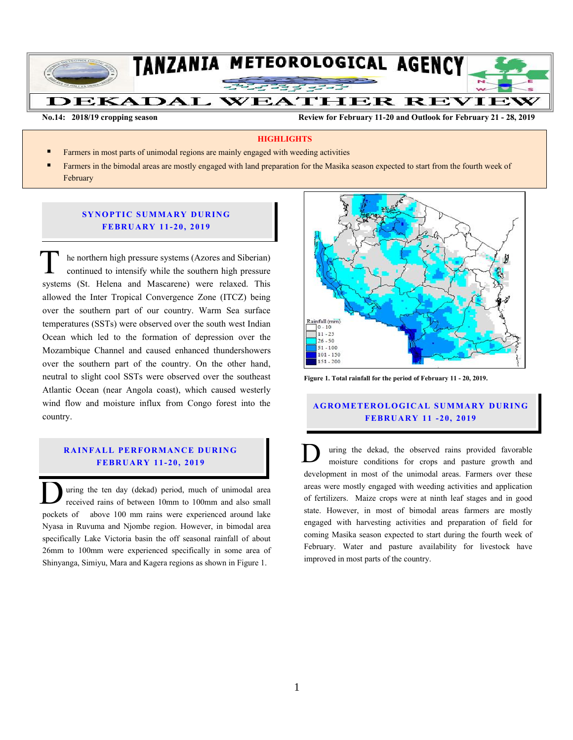

**No.14: 2018/19 cropping season Review for February 11-20 and Outlook for February 21 - 28, 2019**

## **HIGHLIGHTS**

- Farmers in most parts of unimodal regions are mainly engaged with weeding activities
- Farmers in the bimodal areas are mostly engaged with land preparation for the Masika season expected to start from the fourth week of February

# **SYNOPTIC SUMMARY DURING FEBR U A RY 11- 20, 201 9**

he northern high pressure systems (Azores and Siberian) continued to intensify while the southern high pressure systems (St. Helena and Mascarene) were relaxed. This allowed the Inter Tropical Convergence Zone (ITCZ) being over the southern part of our country. Warm Sea surface temperatures (SSTs) were observed over the south west Indian Ocean which led to the formation of depression over the Mozambique Channel and caused enhanced thundershowers over the southern part of the country. On the other hand, neutral to slight cool SSTs were observed over the southeast Atlantic Ocean (near Angola coast), which caused westerly wind flow and moisture influx from Congo forest into the country. T<sub>wite</sub>

## **RAINFALL PERFORMANCE DURING FEBR U A RY 11- 20, 201 9**

uring the ten day (dekad) period, much of unimodal area received rains of between 10mm to 100mm and also small **D** uring the ten day (dekad) period, much of unimodal area received rains of between 10mm to 100mm and also small pockets of above 100 mm rains were experienced around lake Nyasa in Ruvuma and Njombe region. However, in bimodal area specifically Lake Victoria basin the off seasonal rainfall of about 26mm to 100mm were experienced specifically in some area of Shinyanga, Simiyu, Mara and Kagera regions as shown in Figure 1.



**Figure 1. Total rainfall for the period of February 11 - 20, 2019.**

# **A G RO METER O LO G IC AL SU MMAR Y DU R IN G FEBR U A RY 11 - 20, 2019**

uring the dekad, the observed rains provided favorable moisture conditions for crops and pasture growth and development in most of the unimodal areas. Farmers over these areas were mostly engaged with weeding activities and application of fertilizers. Maize crops were at ninth leaf stages and in good state. However, in most of bimodal areas farmers are mostly engaged with harvesting activities and preparation of field for coming Masika season expected to start during the fourth week of February. Water and pasture availability for livestock have improved in most parts of the country. D